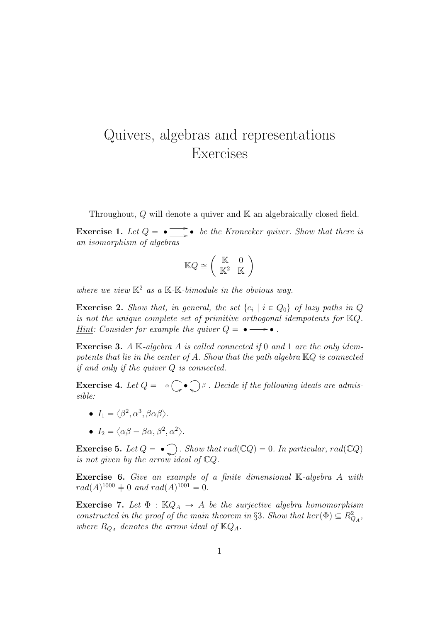## Quivers, algebras and representations Exercises

Throughout, Q will denote a quiver and K an algebraically closed field.

**Exercise 1.** Let  $Q = \bullet \implies$  be the Kronecker quiver. Show that there is an isomorphism of algebras

$$
\mathbb{K}Q \cong \left(\begin{array}{cc} \mathbb{K} & 0\\ \mathbb{K}^2 & \mathbb{K} \end{array}\right)
$$

where we view  $K^2$  as a K-K-bimodule in the obvious way.

**Exercise 2.** Show that, in general, the set  $\{e_i \mid i \in Q_0\}$  of lazy paths in Q is not the unique complete set of primitive orthogonal idempotents for KQ. <u>Hint</u>: Consider for example the quiver  $Q = \bullet \longrightarrow \bullet$ .

**Exercise 3.** A  $\mathbb{K}$ -algebra A is called connected if 0 and 1 are the only idempotents that lie in the center of A. Show that the path algebra  $\mathbb{K}Q$  is connected if and only if the quiver Q is connected.

**Exercise 4.** Let  $Q = \alpha \bigcup_{\beta} \beta$ . Decide if the following ideals are admissible:

- $I_1 = \langle \beta^2, \alpha^3, \beta \alpha \beta \rangle.$
- $I_2 = \langle \alpha \beta \beta \alpha, \beta^2, \alpha^2 \rangle.$

**Exercise 5.** Let  $Q = \bullet$ , Show that rad( $\mathbb{C}Q$ ) = 0. In particular, rad( $\mathbb{C}Q$ ) is not given by the arrow ideal of CQ.

Exercise 6. Give an example of a finite dimensional K-algebra A with  $rad(A)^{1000} \neq 0$  and  $rad(A)^{1001} = 0$ .

**Exercise 7.** Let  $\Phi$  :  $\mathbb{K}Q_A \rightarrow A$  be the surjective algebra homomorphism constructed in the proof of the main theorem in §3. Show that  $\ker(\Phi) \subseteq R_{Q_A}^2$ , where  $R_{Q_A}$  denotes the arrow ideal of  $\mathbb{K}Q_A$ .